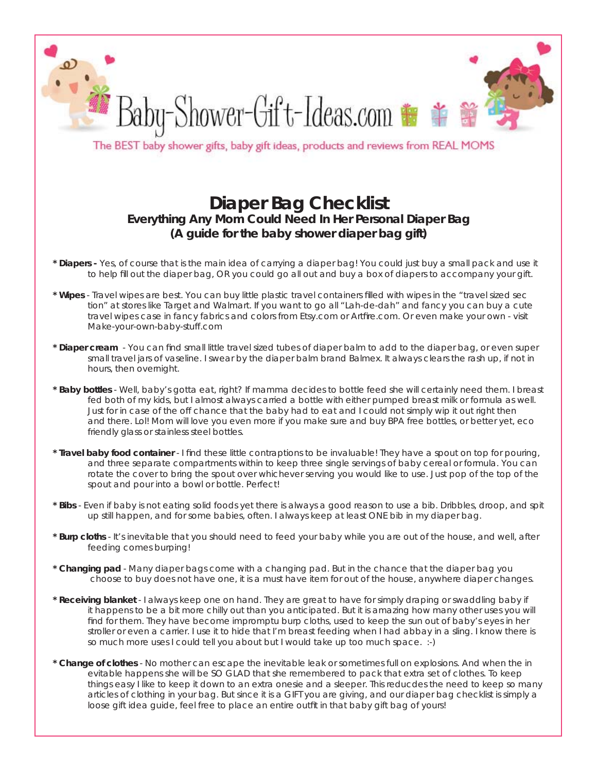

The BEST baby shower gifts, baby gift ideas, products and reviews from REAL MOMS

## **Diaper Bag Checklist Everything Any Mom Could Need In Her Personal Diaper Bag (A guide for the baby shower diaper bag gift)**

- **\* Diapers** Yes, of course that is the main idea of carrying a diaper bag! You could just buy a small pack and use it to help fill out the diaper bag, OR you could go all out and buy a box of diapers to accompany your gift.
- \* Wipes Travel wipes are best. You can buy little plastic travel containers filled with wipes in the "travel sized sec tion" at stores like Target and Walmart. If you want to go all "Lah-de-dah" and fancy you can buy a cute travel wipes case in fancy fabrics and colors from Etsy.com or Artfire.com. Or even make your own - visit Make-your-own-baby-stuff.com
- \* Diaper cream You can find small little travel sized tubes of diaper balm to add to the diaper bag, or even super small travel jars of vaseline. I swear by the diaper balm brand Balmex. It always clears the rash up, if not in hours, then overnight.
- **\* Baby bottles** Well, baby's gotta eat, right? If mamma decides to bottle feed she will certainly need them. I breast fed both of my kids, but I almost always carried a bottle with either pumped breast milk or formula as well. Just for in case of the off chance that the baby had to eat and I could not simply wip it out right then and there. Lol! Mom will love you even more if you make sure and buy BPA free bottles, or better yet, eco friendly glass or stainless steel bottles.
- \* Travel baby food container I find these little contraptions to be invaluable! They have a spout on top for pouring, and three separate compartments within to keep three single servings of baby cereal or formula. You can rotate the cover to bring the spout over whichever serving you would like to use. Just pop of the top of the spout and pour into a bowl or bottle. Perfect!
- **\* Bibs**  Even if baby is not eating solid foods yet there is always a good reason to use a bib. Dribbles, droop, and spit up still happen, and for some babies, often. I always keep at least ONE bib in my diaper bag.
- **\* Burp cloths**  It's inevitable that you should need to feed your baby while you are out of the house, and well, after feeding comes burping!
- **\* Changing pad** Many diaper bags come with a changing pad. But in the chance that the diaper bag you choose to buy does not have one, it is a must have item for out of the house, anywhere diaper changes.
- **\* Receiving blanket**  I always keep one on hand. They are great to have for simply draping or swaddling baby if it happens to be a bit more chilly out than you anticipated. But it is amazing how many other uses you will find for them. They have become impromptu burp cloths, used to keep the sun out of baby's eyes in her stroller or even a carrier. I use it to hide that I'm breast feeding when I had abbay in a sling. I know there is so much more uses I could tell you about but I would take up too much space. :-)
- **\* Change of clothes**  No mother can escape the inevitable leak or sometimes full on explosions. And when the in evitable happens she will be SO GLAD that she remembered to pack that extra set of clothes. To keep things easy I like to keep it down to an extra onesie and a sleeper. This reducdes the need to keep so many articles of clothing in your bag. But since it is a GIFT you are giving, and our diaper bag checklist is simply a loose gift idea guide, feel free to place an entire outfit in that baby gift bag of yours!